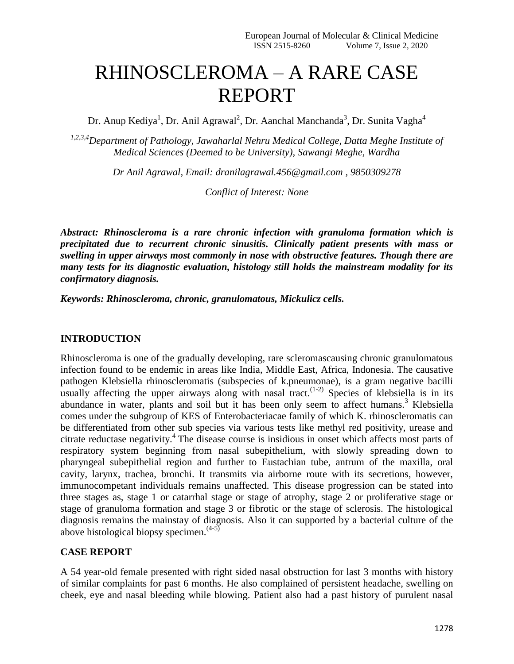# RHINOSCLEROMA – A RARE CASE REPORT

Dr. Anup Kediya<sup>1</sup>, Dr. Anil Agrawal<sup>2</sup>, Dr. Aanchal Manchanda<sup>3</sup>, Dr. Sunita Vagha<sup>4</sup>

*1,2,3,4Department of Pathology, Jawaharlal Nehru Medical College, Datta Meghe Institute of Medical Sciences (Deemed to be University), Sawangi Meghe, Wardha*

*Dr Anil Agrawal, Email: dranilagrawal.456@gmail.com , 9850309278*

*Conflict of Interest: None*

*Abstract: Rhinoscleroma is a rare chronic infection with granuloma formation which is precipitated due to recurrent chronic sinusitis. Clinically patient presents with mass or swelling in upper airways most commonly in nose with obstructive features. Though there are many tests for its diagnostic evaluation, histology still holds the mainstream modality for its confirmatory diagnosis.*

*Keywords: Rhinoscleroma, chronic, granulomatous, Mickulicz cells.*

## **INTRODUCTION**

Rhinoscleroma is one of the gradually developing, rare scleromascausing chronic granulomatous infection found to be endemic in areas like India, Middle East, Africa, Indonesia. The causative pathogen Klebsiella rhinoscleromatis (subspecies of k.pneumonae), is a gram negative bacilli usually affecting the upper airways along with nasal tract.<sup>(1-2)</sup> Species of klebsiella is in its abundance in water, plants and soil but it has been only seem to affect humans.<sup>3</sup> Klebsiella comes under the subgroup of KES of Enterobacteriacae family of which K. rhinoscleromatis can be differentiated from other sub species via various tests like methyl red positivity, urease and citrate reductase negativity.<sup>4</sup> The disease course is insidious in onset which affects most parts of respiratory system beginning from nasal subepithelium, with slowly spreading down to pharyngeal subepithelial region and further to Eustachian tube, antrum of the maxilla, oral cavity, larynx, trachea, bronchi. It transmits via airborne route with its secretions, however, immunocompetant individuals remains unaffected. This disease progression can be stated into three stages as, stage 1 or catarrhal stage or stage of atrophy, stage 2 or proliferative stage or stage of granuloma formation and stage 3 or fibrotic or the stage of sclerosis. The histological diagnosis remains the mainstay of diagnosis. Also it can supported by a bacterial culture of the above histological biopsy specimen.<sup> $(4-5)$ </sup>

#### **CASE REPORT**

A 54 year-old female presented with right sided nasal obstruction for last 3 months with history of similar complaints for past 6 months. He also complained of persistent headache, swelling on cheek, eye and nasal bleeding while blowing. Patient also had a past history of purulent nasal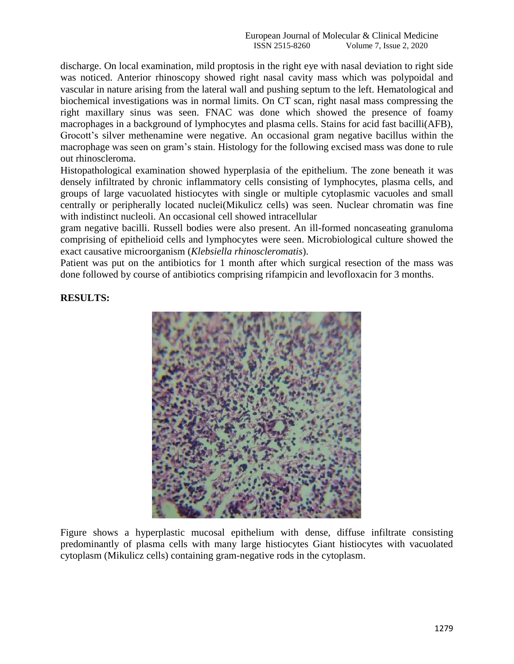discharge. On local examination, mild proptosis in the right eye with nasal deviation to right side was noticed. Anterior rhinoscopy showed right nasal cavity mass which was polypoidal and vascular in nature arising from the lateral wall and pushing septum to the left. Hematological and biochemical investigations was in normal limits. On CT scan, right nasal mass compressing the right maxillary sinus was seen. FNAC was done which showed the presence of foamy macrophages in a background of lymphocytes and plasma cells. Stains for acid fast bacilli(AFB), Grocott's silver methenamine were negative. An occasional gram negative bacillus within the macrophage was seen on gram's stain. Histology for the following excised mass was done to rule out rhinoscleroma.

Histopathological examination showed hyperplasia of the epithelium. The zone beneath it was densely infiltrated by chronic inflammatory cells consisting of lymphocytes, plasma cells, and groups of large vacuolated histiocytes with single or multiple cytoplasmic vacuoles and small centrally or peripherally located nuclei(Mikulicz cells) was seen. Nuclear chromatin was fine with indistinct nucleoli. An occasional cell showed intracellular

gram negative bacilli. Russell bodies were also present. An ill-formed noncaseating granuloma comprising of epithelioid cells and lymphocytes were seen. Microbiological culture showed the exact causative microorganism (*Klebsiella rhinoscleromatis*).

Patient was put on the antibiotics for 1 month after which surgical resection of the mass was done followed by course of antibiotics comprising rifampicin and levofloxacin for 3 months.

# **RESULTS:**



Figure shows a hyperplastic mucosal epithelium with dense, diffuse infiltrate consisting predominantly of plasma cells with many large histiocytes Giant histiocytes with vacuolated cytoplasm (Mikulicz cells) containing gram-negative rods in the cytoplasm.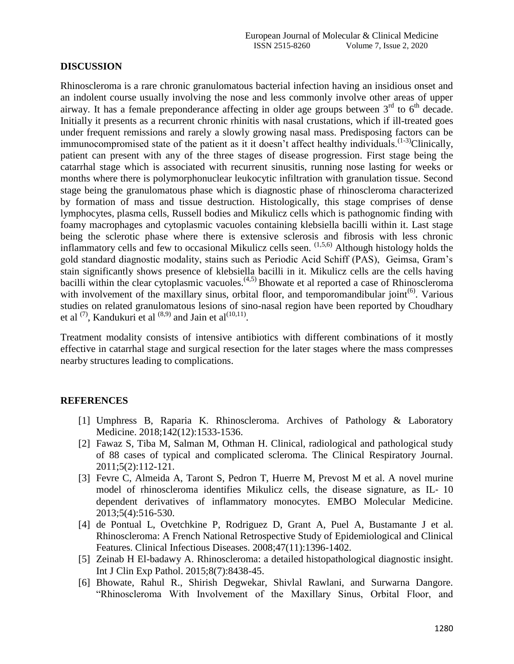## **DISCUSSION**

Rhinoscleroma is a rare chronic granulomatous bacterial infection having an insidious onset and an indolent course usually involving the nose and less commonly involve other areas of upper airway. It has a female preponderance affecting in older age groups between  $3<sup>rd</sup>$  to  $6<sup>th</sup>$  decade. Initially it presents as a recurrent chronic rhinitis with nasal crustations, which if ill-treated goes under frequent remissions and rarely a slowly growing nasal mass. Predisposing factors can be immunocompromised state of the patient as it it doesn't affect healthy individuals.<sup>(1-3)</sup>Clinically, patient can present with any of the three stages of disease progression. First stage being the catarrhal stage which is associated with recurrent sinusitis, running nose lasting for weeks or months where there is polymorphonuclear leukocytic infiltration with granulation tissue. Second stage being the granulomatous phase which is diagnostic phase of rhinoscleroma characterized by formation of mass and tissue destruction. Histologically, this stage comprises of dense lymphocytes, plasma cells, Russell bodies and Mikulicz cells which is pathognomic finding with foamy macrophages and cytoplasmic vacuoles containing klebsiella bacilli within it. Last stage being the sclerotic phase where there is extensive sclerosis and fibrosis with less chronic inflammatory cells and few to occasional Mikulicz cells seen.  $(1,5,6)$  Although histology holds the gold standard diagnostic modality, stains such as Periodic Acid Schiff (PAS), Geimsa, Gram's stain significantly shows presence of klebsiella bacilli in it. Mikulicz cells are the cells having bacilli within the clear cytoplasmic vacuoles.<sup>(4,5)</sup> Bhowate et al reported a case of Rhinoscleroma with involvement of the maxillary sinus, orbital floor, and temporomandibular joint<sup> $(6)$ </sup>. Various studies on related granulomatous lesions of sino-nasal region have been reported by Choudhary et al  $^{(7)}$ , Kandukuri et al  $^{(8,9)}$  and Jain et al $^{(10,11)}$ .

Treatment modality consists of intensive antibiotics with different combinations of it mostly effective in catarrhal stage and surgical resection for the later stages where the mass compresses nearby structures leading to complications.

# **REFERENCES**

- [1] Umphress B, Raparia K. Rhinoscleroma. Archives of Pathology & Laboratory Medicine. 2018;142(12):1533-1536.
- [2] Fawaz S, Tiba M, Salman M, Othman H. Clinical, radiological and pathological study of 88 cases of typical and complicated scleroma. The Clinical Respiratory Journal. 2011;5(2):112-121.
- [3] Fevre C, Almeida A, Taront S, Pedron T, Huerre M, Prevost M et al. A novel murine model of rhinoscleroma identifies Mikulicz cells, the disease signature, as IL-10 dependent derivatives of inflammatory monocytes. EMBO Molecular Medicine. 2013;5(4):516-530.
- [4] de Pontual L, Ovetchkine P, Rodriguez D, Grant A, Puel A, Bustamante J et al. Rhinoscleroma: A French National Retrospective Study of Epidemiological and Clinical Features. Clinical Infectious Diseases. 2008;47(11):1396-1402.
- [5] Zeinab H El-badawy A. Rhinoscleroma: a detailed histopathological diagnostic insight. Int J Clin Exp Pathol. 2015;8(7):8438-45.
- [6] Bhowate, Rahul R., Shirish Degwekar, Shivlal Rawlani, and Surwarna Dangore. "Rhinoscleroma With Involvement of the Maxillary Sinus, Orbital Floor, and